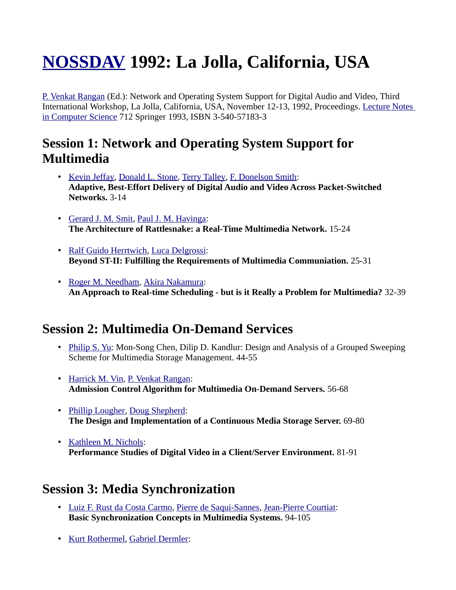# **[NOSSDAV](http://www.informatik.uni-trier.de/~ley/db/conf/nossdav/index.html) 1992: La Jolla, California, USA**

[P. Venkat Rangan](http://www.informatik.uni-trier.de/~ley/db/indices/a-tree/r/Rangan:P=_Venkat.html) (Ed.): Network and Operating System Support for Digital Audio and Video, Third International Workshop, La Jolla, California, USA, November 12-13, 1992, Proceedings. [Lecture Notes](http://www.informatik.uni-trier.de/~ley/db/journals/lncs.html) [in Computer Science](http://www.informatik.uni-trier.de/~ley/db/journals/lncs.html) 712 Springer 1993, ISBN 3-540-57183-3

## **Session 1: Network and Operating System Support for Multimedia**

- • [Kevin Jeffay,](http://www.informatik.uni-trier.de/~ley/db/indices/a-tree/j/Jeffay:Kevin.html) [Donald L. Stone,](http://www.informatik.uni-trier.de/~ley/db/indices/a-tree/s/Stone:Donald_L=.html) [Terry Talley,](http://www.informatik.uni-trier.de/~ley/db/indices/a-tree/t/Talley:Terry.html) [F. Donelson Smith:](http://www.informatik.uni-trier.de/~ley/db/indices/a-tree/s/Smith:F=_Donelson.html) **Adaptive, Best-Effort Delivery of Digital Audio and Video Across Packet-Switched Networks.** 3-14
- • [Gerard J. M. Smit,](http://www.informatik.uni-trier.de/~ley/db/indices/a-tree/s/Smit:Gerard_J=_M=.html) [Paul J. M. Havinga:](http://www.informatik.uni-trier.de/~ley/db/indices/a-tree/h/Havinga:Paul_J=_M=.html) **The Architecture of Rattlesnake: a Real-Time Multimedia Network.** 15-24
- • [Ralf Guido Herrtwich,](http://www.informatik.uni-trier.de/~ley/db/indices/a-tree/h/Herrtwich:Ralf_Guido.html) [Luca Delgrossi:](http://www.informatik.uni-trier.de/~ley/db/indices/a-tree/d/Delgrossi:Luca.html) **Beyond ST-II: Fulfilling the Requirements of Multimedia Communiation.** 25-31
- • [Roger M. Needham,](http://www.informatik.uni-trier.de/~ley/db/indices/a-tree/n/Needham:Roger_M=.html) [Akira Nakamura:](http://www.informatik.uni-trier.de/~ley/db/indices/a-tree/n/Nakamura:Akira.html) **An Approach to Real-time Scheduling - but is it Really a Problem for Multimedia?** 32-39

### **Session 2: Multimedia On-Demand Services**

- • [Philip S. Yu:](http://www.informatik.uni-trier.de/~ley/db/indices/a-tree/y/Yu:Philip_S=.html) Mon-Song Chen, Dilip D. Kandlur: Design and Analysis of a Grouped Sweeping Scheme for Multimedia Storage Management. 44-55
- • [Harrick M. Vin,](http://www.informatik.uni-trier.de/~ley/db/indices/a-tree/v/Vin:Harrick_M=.html) [P. Venkat Rangan:](http://www.informatik.uni-trier.de/~ley/db/indices/a-tree/r/Rangan:P=_Venkat.html) **Admission Control Algorithm for Multimedia On-Demand Servers.** 56-68
- • [Phillip Lougher,](http://www.informatik.uni-trier.de/~ley/db/indices/a-tree/l/Lougher:Phillip.html) [Doug Shepherd:](http://www.informatik.uni-trier.de/~ley/db/indices/a-tree/s/Shepherd:Doug.html) **The Design and Implementation of a Continuous Media Storage Server.** 69-80
- • [Kathleen M. Nichols:](http://www.informatik.uni-trier.de/~ley/db/indices/a-tree/n/Nichols:Kathleen_M=.html) **Performance Studies of Digital Video in a Client/Server Environment.** 81-91

#### **Session 3: Media Synchronization**

- • [Luiz F. Rust da Costa Carmo,](http://www.informatik.uni-trier.de/~ley/db/indices/a-tree/c/Carmo:Luiz_F=_Rust_da_Costa.html) [Pierre de Saqui-Sannes,](http://www.informatik.uni-trier.de/~ley/db/indices/a-tree/s/Saqui=Sannes:Pierre_de.html) [Jean-Pierre Courtiat:](http://www.informatik.uni-trier.de/~ley/db/indices/a-tree/c/Courtiat:Jean=Pierre.html) **Basic Synchronization Concepts in Multimedia Systems.** 94-105
- • [Kurt Rothermel,](http://www.informatik.uni-trier.de/~ley/db/indices/a-tree/r/Rothermel:Kurt.html) [Gabriel Dermler:](http://www.informatik.uni-trier.de/~ley/db/indices/a-tree/d/Dermler:Gabriel.html)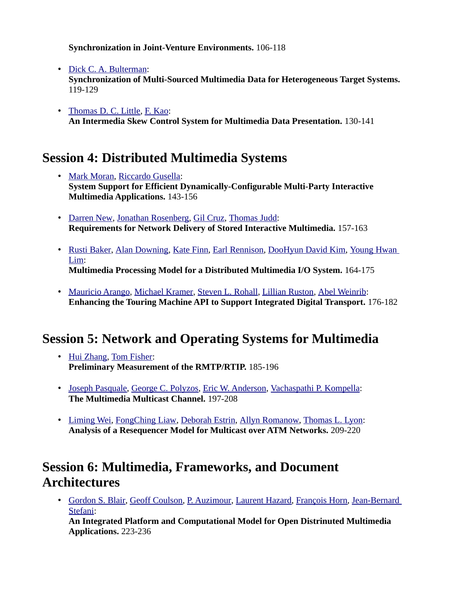**Synchronization in Joint-Venture Environments.** 106-118

• [Dick C. A. Bulterman:](http://www.informatik.uni-trier.de/~ley/db/indices/a-tree/b/Bulterman:Dick_C=_A=.html)

**Synchronization of Multi-Sourced Multimedia Data for Heterogeneous Target Systems.**  119-129

• [Thomas D. C. Little,](http://www.informatik.uni-trier.de/~ley/db/indices/a-tree/l/Little:Thomas_D=_C=.html) [F. Kao:](http://www.informatik.uni-trier.de/~ley/db/indices/a-tree/k/Kao:F=.html) **An Intermedia Skew Control System for Multimedia Data Presentation.** 130-141

## **Session 4: Distributed Multimedia Systems**

- • [Mark Moran,](http://www.informatik.uni-trier.de/~ley/db/indices/a-tree/m/Moran:Mark.html) [Riccardo Gusella:](http://www.informatik.uni-trier.de/~ley/db/indices/a-tree/g/Gusella:Riccardo.html) **System Support for Efficient Dynamically-Configurable Multi-Party Interactive Multimedia Applications.** 143-156
- • [Darren New,](http://www.informatik.uni-trier.de/~ley/db/indices/a-tree/n/New:Darren.html) [Jonathan Rosenberg,](http://www.informatik.uni-trier.de/~ley/db/indices/a-tree/r/Rosenberg:Jonathan.html) [Gil Cruz,](http://www.informatik.uni-trier.de/~ley/db/indices/a-tree/c/Cruz:Gil.html) [Thomas Judd:](http://www.informatik.uni-trier.de/~ley/db/indices/a-tree/j/Judd:Thomas.html) **Requirements for Network Delivery of Stored Interactive Multimedia.** 157-163
- • [Rusti Baker,](http://www.informatik.uni-trier.de/~ley/db/indices/a-tree/b/Baker:Rusti.html) [Alan Downing,](http://www.informatik.uni-trier.de/~ley/db/indices/a-tree/d/Downing:Alan.html) [Kate Finn,](http://www.informatik.uni-trier.de/~ley/db/indices/a-tree/f/Finn:Kate.html) [Earl Rennison,](http://www.informatik.uni-trier.de/~ley/db/indices/a-tree/r/Rennison:Earl.html) [DooHyun David Kim,](http://www.informatik.uni-trier.de/~ley/db/indices/a-tree/k/Kim:DooHyun_David.html) [Young Hwan](http://www.informatik.uni-trier.de/~ley/db/indices/a-tree/l/Lim:Young_Hwan.html)  [Lim:](http://www.informatik.uni-trier.de/~ley/db/indices/a-tree/l/Lim:Young_Hwan.html) **Multimedia Processing Model for a Distributed Multimedia I/O System.** 164-175
- • [Mauricio Arango,](http://www.informatik.uni-trier.de/~ley/db/indices/a-tree/a/Arango:Mauricio.html) [Michael Kramer,](http://www.informatik.uni-trier.de/~ley/db/indices/a-tree/k/Kramer:Michael.html) [Steven L. Rohall,](http://www.informatik.uni-trier.de/~ley/db/indices/a-tree/r/Rohall:Steven_L=.html) [Lillian Ruston,](http://www.informatik.uni-trier.de/~ley/db/indices/a-tree/r/Ruston:Lillian.html) [Abel Weinrib:](http://www.informatik.uni-trier.de/~ley/db/indices/a-tree/w/Weinrib:Abel.html) **Enhancing the Touring Machine API to Support Integrated Digital Transport.** 176-182

# **Session 5: Network and Operating Systems for Multimedia**

- • [Hui Zhang,](http://www.informatik.uni-trier.de/~ley/db/indices/a-tree/z/Zhang:Hui.html) [Tom Fisher:](http://www.informatik.uni-trier.de/~ley/db/indices/a-tree/f/Fisher:Tom.html) **Preliminary Measurement of the RMTP/RTIP.** 185-196
- • [Joseph Pasquale,](http://www.informatik.uni-trier.de/~ley/db/indices/a-tree/p/Pasquale:Joseph.html) [George C. Polyzos,](http://www.informatik.uni-trier.de/~ley/db/indices/a-tree/p/Polyzos:George_C=.html) [Eric W. Anderson,](http://www.informatik.uni-trier.de/~ley/db/indices/a-tree/a/Anderson:Eric_W=.html) [Vachaspathi P. Kompella:](http://www.informatik.uni-trier.de/~ley/db/indices/a-tree/k/Kompella:Vachaspathi_P=.html) **The Multimedia Multicast Channel.** 197-208
- • [Liming Wei,](http://www.informatik.uni-trier.de/~ley/db/indices/a-tree/w/Wei:Liming.html) [FongChing Liaw,](http://www.informatik.uni-trier.de/~ley/db/indices/a-tree/l/Liaw:FongChing.html) [Deborah Estrin,](http://www.informatik.uni-trier.de/~ley/db/indices/a-tree/e/Estrin:Deborah.html) [Allyn Romanow,](http://www.informatik.uni-trier.de/~ley/db/indices/a-tree/r/Romanow:Allyn.html) [Thomas L. Lyon:](http://www.informatik.uni-trier.de/~ley/db/indices/a-tree/l/Lyon:Thomas_L=.html) **Analysis of a Resequencer Model for Multicast over ATM Networks.** 209-220

## **Session 6: Multimedia, Frameworks, and Document Architectures**

• [Gordon S. Blair,](http://www.informatik.uni-trier.de/~ley/db/indices/a-tree/b/Blair:Gordon_S=.html) [Geoff Coulson,](http://www.informatik.uni-trier.de/~ley/db/indices/a-tree/c/Coulson:Geoff.html) [P. Auzimour,](http://www.informatik.uni-trier.de/~ley/db/indices/a-tree/a/Auzimour:P=.html) [Laurent Hazard,](http://www.informatik.uni-trier.de/~ley/db/indices/a-tree/h/Hazard:Laurent.html) [François Horn,](http://www.informatik.uni-trier.de/~ley/db/indices/a-tree/h/Horn:Fran=ccedil=ois.html) [Jean-Bernard](http://www.informatik.uni-trier.de/~ley/db/indices/a-tree/s/Stefani:Jean=Bernard.html)  [Stefani:](http://www.informatik.uni-trier.de/~ley/db/indices/a-tree/s/Stefani:Jean=Bernard.html)

**An Integrated Platform and Computational Model for Open Distrinuted Multimedia Applications.** 223-236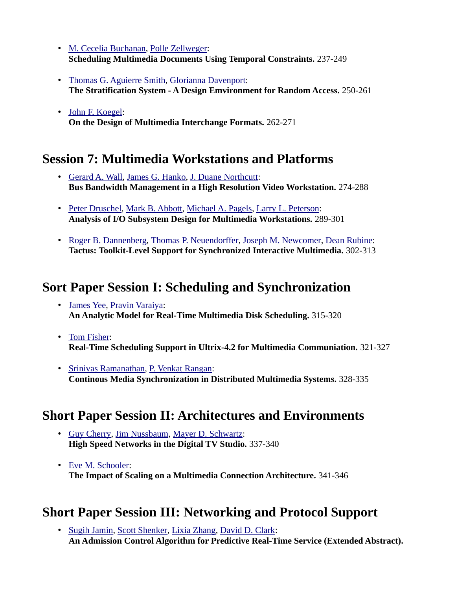- • [M. Cecelia Buchanan,](http://www.informatik.uni-trier.de/~ley/db/indices/a-tree/b/Buchanan:M=_Cecelia.html) [Polle Zellweger:](http://www.informatik.uni-trier.de/~ley/db/indices/a-tree/z/Zellweger:Polle.html) **Scheduling Multimedia Documents Using Temporal Constraints.** 237-249
- • [Thomas G. Aguierre Smith,](http://www.informatik.uni-trier.de/~ley/db/indices/a-tree/s/Smith:Thomas_G=_Aguierre.html) [Glorianna Davenport:](http://www.informatik.uni-trier.de/~ley/db/indices/a-tree/d/Davenport:Glorianna.html) **The Stratification System - A Design Emvironment for Random Access.** 250-261
- • [John F. Koegel:](http://www.informatik.uni-trier.de/~ley/db/indices/a-tree/k/Koegel:John_F=.html) **On the Design of Multimedia Interchange Formats.** 262-271

#### **Session 7: Multimedia Workstations and Platforms**

- • [Gerard A. Wall,](http://www.informatik.uni-trier.de/~ley/db/indices/a-tree/w/Wall:Gerard_A=.html) [James G. Hanko,](http://www.informatik.uni-trier.de/~ley/db/indices/a-tree/h/Hanko:James_G=.html) [J. Duane Northcutt:](http://www.informatik.uni-trier.de/~ley/db/indices/a-tree/n/Northcutt:J=_Duane.html) **Bus Bandwidth Management in a High Resolution Video Workstation.** 274-288
- • [Peter Druschel,](http://www.informatik.uni-trier.de/~ley/db/indices/a-tree/d/Druschel:Peter.html) [Mark B. Abbott,](http://www.informatik.uni-trier.de/~ley/db/indices/a-tree/a/Abbott:Mark_B=.html) [Michael A. Pagels,](http://www.informatik.uni-trier.de/~ley/db/indices/a-tree/p/Pagels:Michael_A=.html) [Larry L. Peterson:](http://www.informatik.uni-trier.de/~ley/db/indices/a-tree/p/Peterson:Larry_L=.html) **Analysis of I/O Subsystem Design for Multimedia Workstations.** 289-301
- • [Roger B. Dannenberg,](http://www.informatik.uni-trier.de/~ley/db/indices/a-tree/d/Dannenberg:Roger_B=.html) [Thomas P. Neuendorffer,](http://www.informatik.uni-trier.de/~ley/db/indices/a-tree/n/Neuendorffer:Thomas_P=.html) [Joseph M. Newcomer,](http://www.informatik.uni-trier.de/~ley/db/indices/a-tree/n/Newcomer:Joseph_M=.html) [Dean Rubine:](http://www.informatik.uni-trier.de/~ley/db/indices/a-tree/r/Rubine:Dean.html) **Tactus: Toolkit-Level Support for Synchronized Interactive Multimedia.** 302-313

#### **Sort Paper Session I: Scheduling and Synchronization**

- • [James Yee,](http://www.informatik.uni-trier.de/~ley/db/indices/a-tree/y/Yee:James.html) [Pravin Varaiya:](http://www.informatik.uni-trier.de/~ley/db/indices/a-tree/v/Varaiya:Pravin.html) **An Analytic Model for Real-Time Multimedia Disk Scheduling.** 315-320
- • [Tom Fisher:](http://www.informatik.uni-trier.de/~ley/db/indices/a-tree/f/Fisher:Tom.html) **Real-Time Scheduling Support in Ultrix-4.2 for Multimedia Communiation.** 321-327
- • [Srinivas Ramanathan,](http://www.informatik.uni-trier.de/~ley/db/indices/a-tree/r/Ramanathan:Srinivas.html) [P. Venkat Rangan:](http://www.informatik.uni-trier.de/~ley/db/indices/a-tree/r/Rangan:P=_Venkat.html) **Continous Media Synchronization in Distributed Multimedia Systems.** 328-335

# **Short Paper Session II: Architectures and Environments**

- • [Guy Cherry,](http://www.informatik.uni-trier.de/~ley/db/indices/a-tree/c/Cherry:Guy.html) [Jim Nussbaum,](http://www.informatik.uni-trier.de/~ley/db/indices/a-tree/n/Nussbaum:Jim.html) [Mayer D. Schwartz:](http://www.informatik.uni-trier.de/~ley/db/indices/a-tree/s/Schwartz:Mayer_D=.html) **High Speed Networks in the Digital TV Studio.** 337-340
- • [Eve M. Schooler:](http://www.informatik.uni-trier.de/~ley/db/indices/a-tree/s/Schooler:Eve_M=.html) **The Impact of Scaling on a Multimedia Connection Architecture.** 341-346

# **Short Paper Session III: Networking and Protocol Support**

• [Sugih Jamin,](http://www.informatik.uni-trier.de/~ley/db/indices/a-tree/j/Jamin:Sugih.html) [Scott Shenker,](http://www.informatik.uni-trier.de/~ley/db/indices/a-tree/s/Shenker:Scott.html) [Lixia Zhang,](http://www.informatik.uni-trier.de/~ley/db/indices/a-tree/z/Zhang:Lixia.html) [David D. Clark:](http://www.informatik.uni-trier.de/~ley/db/indices/a-tree/c/Clark:David_D=.html) **An Admission Control Algorithm for Predictive Real-Time Service (Extended Abstract).**